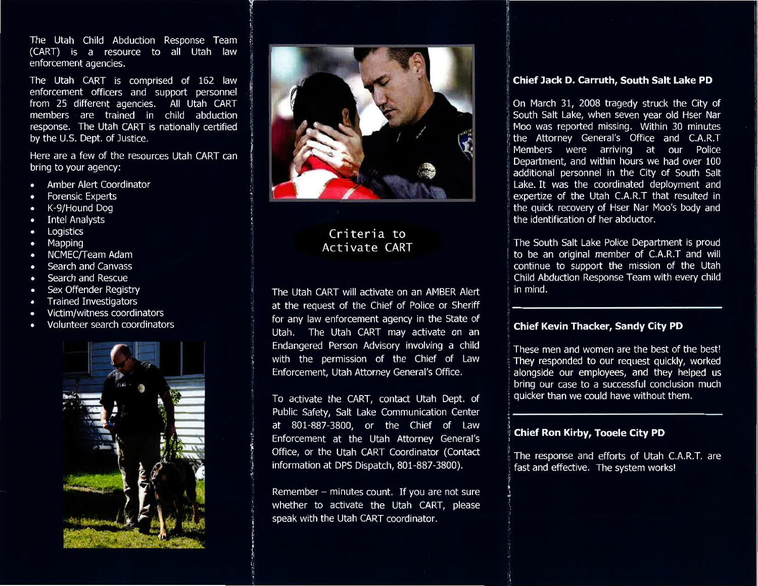The Utah Child Abduction Response Team (CART) is a resource to all Utah law enforcement agencies.

The Utah CART is comprised of 162 law enforcement officers and support personnel from 25 different agencies. All Utah CART members are trained in child abduction response. The Utah CART is nationally certified by the U.S. Dept. of Justice.

Here are a few of the resources Utah CART can bring to your agency:

- Amber Alert Coordinator
- **Forensic Experts**
- K-9/Hound Dog
- **Intel Analysts**  $\bullet$
- Logistics  $\bullet$
- Mapping  $\bullet$
- **NCMEC/Team Adam**
- Search and Canvass  $\bullet$
- Search and Rescue  $\bullet$
- Sex Offender Registry
- **Trained Investigators**  $\overline{\phantom{a}}$
- Victim/witness coordinators
- Volunteer search coordinators





# Criteria to Activate CART

The Utah CART will activate on an AMBER Alert at the request of the Chief of Police or Sheriff for any law enforcement agency in the State of Utah. The Utah CART may activate on an Endangered Person Advisory involving a child with the permission of the Chief of Law Enforcement, Utah Attorney General's Office.

To activate the CART, contact Utah Dept. of Public Safety, Salt Lake Communication Center at 801-887-3800, or the Chief of Law Enforcement at the Utah Attorney General's Office, or the Utah CART Coordinator (Contact information at DPS Dispatch, 801-887-3800).

Remember - minutes count. If you are not sure whether to activate the Utah CART, please speak with the Utah CART coordinator.

#### Chief Jack D. Carruth, South Salt Lake PD

On March 31, 2008 tragedy struck the City of South Salt Lake, when seven year old Hser Nar Moo was reported missing. Within 30 minutes the Attorney General's Office and C.A.R.T Members were arriving at our Police Department, and within hours we had over 100 additional personnel in the City of South Salt Lake. It was the coordinated deployment and expertize of the Utah C.A.R.T that resulted in the quick recovery of Hser Nar Moo's body and the identification of her abductor.

The South Salt Lake Police Department is proud to be an original member of C.A.R.T and will continue to support the mission of the Utah Child Abduction Response Team with every child in mind.

### **Chief Kevin Thacker, Sandy City PD**

These men and women are the best of the best! They responded to our request quickly, worked alongside our employees, and they helped us bring our case to a successful conclusion much quicker than we could have without them.

## **Chief Ron Kirby, Tooele City PD**

The response and efforts of Utah C.A.R.T. are fast and effective. The system works!